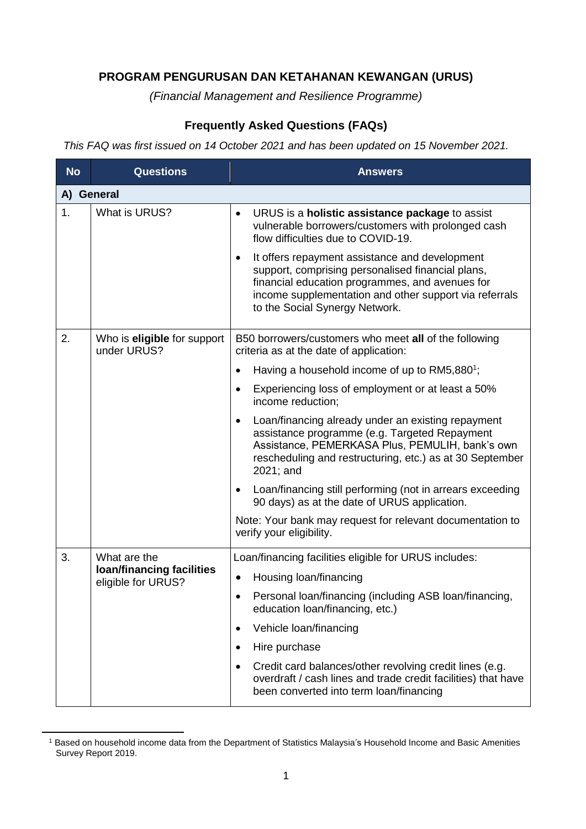## **PROGRAM PENGURUSAN DAN KETAHANAN KEWANGAN (URUS)**

*(Financial Management and Resilience Programme)*

## **Frequently Asked Questions (FAQs)**

*This FAQ was first issued on 14 October 2021 and has been updated on 15 November 2021.*

| <b>No</b> | <b>Questions</b>                                                | <b>Answers</b>                                                                                                                                                                                                                                                  |
|-----------|-----------------------------------------------------------------|-----------------------------------------------------------------------------------------------------------------------------------------------------------------------------------------------------------------------------------------------------------------|
|           | A) General                                                      |                                                                                                                                                                                                                                                                 |
| 1.        | What is URUS?                                                   | URUS is a holistic assistance package to assist<br>$\bullet$<br>vulnerable borrowers/customers with prolonged cash<br>flow difficulties due to COVID-19.                                                                                                        |
|           |                                                                 | It offers repayment assistance and development<br>$\bullet$<br>support, comprising personalised financial plans,<br>financial education programmes, and avenues for<br>income supplementation and other support via referrals<br>to the Social Synergy Network. |
| 2.        | Who is <b>eligible</b> for support<br>under URUS?               | B50 borrowers/customers who meet all of the following<br>criteria as at the date of application:                                                                                                                                                                |
|           |                                                                 | Having a household income of up to RM5,880 <sup>1</sup> ;                                                                                                                                                                                                       |
|           |                                                                 | Experiencing loss of employment or at least a 50%<br>income reduction;                                                                                                                                                                                          |
|           |                                                                 | Loan/financing already under an existing repayment<br>assistance programme (e.g. Targeted Repayment<br>Assistance, PEMERKASA Plus, PEMULIH, bank's own<br>rescheduling and restructuring, etc.) as at 30 September<br>2021; and                                 |
|           |                                                                 | Loan/financing still performing (not in arrears exceeding<br>90 days) as at the date of URUS application.                                                                                                                                                       |
|           |                                                                 | Note: Your bank may request for relevant documentation to<br>verify your eligibility.                                                                                                                                                                           |
| 3.        | What are the<br>loan/financing facilities<br>eligible for URUS? | Loan/financing facilities eligible for URUS includes:                                                                                                                                                                                                           |
|           |                                                                 | Housing loan/financing                                                                                                                                                                                                                                          |
|           |                                                                 | Personal loan/financing (including ASB loan/financing,<br>education loan/financing, etc.)                                                                                                                                                                       |
|           |                                                                 | Vehicle loan/financing<br>$\bullet$                                                                                                                                                                                                                             |
|           |                                                                 | Hire purchase<br>$\bullet$                                                                                                                                                                                                                                      |
|           |                                                                 | Credit card balances/other revolving credit lines (e.g.<br>$\bullet$<br>overdraft / cash lines and trade credit facilities) that have<br>been converted into term loan/financing                                                                                |

<sup>1</sup> Based on household income data from the Department of Statistics Malaysia's Household Income and Basic Amenities Survey Report 2019.

 $\overline{a}$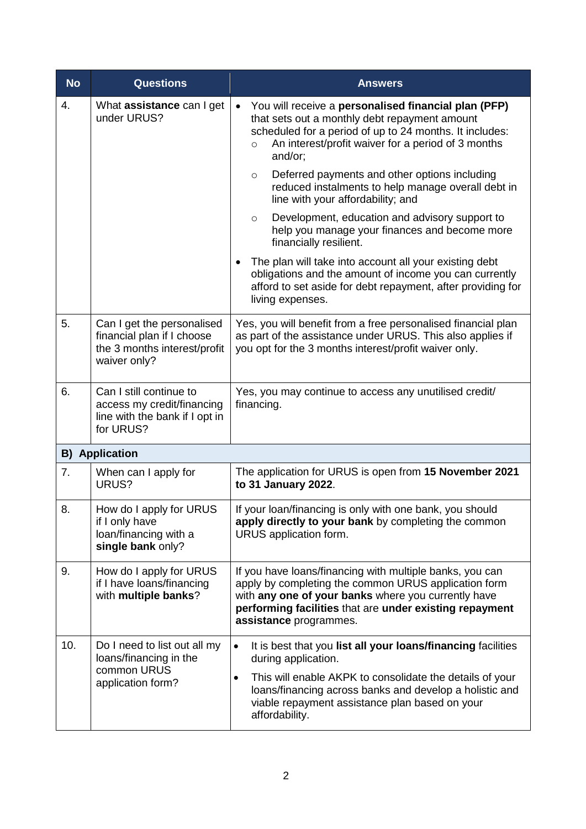| <b>No</b> | <b>Questions</b>                                                                                         | <b>Answers</b>                                                                                                                                                                                                                                                                                           |
|-----------|----------------------------------------------------------------------------------------------------------|----------------------------------------------------------------------------------------------------------------------------------------------------------------------------------------------------------------------------------------------------------------------------------------------------------|
| 4.        | What assistance can I get<br>under URUS?                                                                 | You will receive a personalised financial plan (PFP)<br>$\bullet$<br>that sets out a monthly debt repayment amount<br>scheduled for a period of up to 24 months. It includes:<br>An interest/profit waiver for a period of 3 months<br>$\circ$<br>and/or;                                                |
|           |                                                                                                          | Deferred payments and other options including<br>$\circ$<br>reduced instalments to help manage overall debt in<br>line with your affordability; and                                                                                                                                                      |
|           |                                                                                                          | Development, education and advisory support to<br>$\circ$<br>help you manage your finances and become more<br>financially resilient.                                                                                                                                                                     |
|           |                                                                                                          | The plan will take into account all your existing debt<br>$\bullet$<br>obligations and the amount of income you can currently<br>afford to set aside for debt repayment, after providing for<br>living expenses.                                                                                         |
| 5.        | Can I get the personalised<br>financial plan if I choose<br>the 3 months interest/profit<br>waiver only? | Yes, you will benefit from a free personalised financial plan<br>as part of the assistance under URUS. This also applies if<br>you opt for the 3 months interest/profit waiver only.                                                                                                                     |
| 6.        | Can I still continue to<br>access my credit/financing<br>line with the bank if I opt in<br>for URUS?     | Yes, you may continue to access any unutilised credit/<br>financing.                                                                                                                                                                                                                                     |
|           | <b>B)</b> Application                                                                                    |                                                                                                                                                                                                                                                                                                          |
| 7.        | When can I apply for<br>URUS?                                                                            | The application for URUS is open from 15 November 2021<br>to 31 January 2022.                                                                                                                                                                                                                            |
| 8.        | How do I apply for URUS<br>if I only have<br>loan/financing with a<br>single bank only?                  | If your loan/financing is only with one bank, you should<br>apply directly to your bank by completing the common<br>URUS application form.                                                                                                                                                               |
| 9.        | How do I apply for URUS<br>if I have loans/financing<br>with multiple banks?                             | If you have loans/financing with multiple banks, you can<br>apply by completing the common URUS application form<br>with any one of your banks where you currently have<br>performing facilities that are under existing repayment<br>assistance programmes.                                             |
| 10.       | Do I need to list out all my<br>loans/financing in the<br>common URUS<br>application form?               | It is best that you list all your loans/financing facilities<br>$\bullet$<br>during application.<br>This will enable AKPK to consolidate the details of your<br>$\bullet$<br>loans/financing across banks and develop a holistic and<br>viable repayment assistance plan based on your<br>affordability. |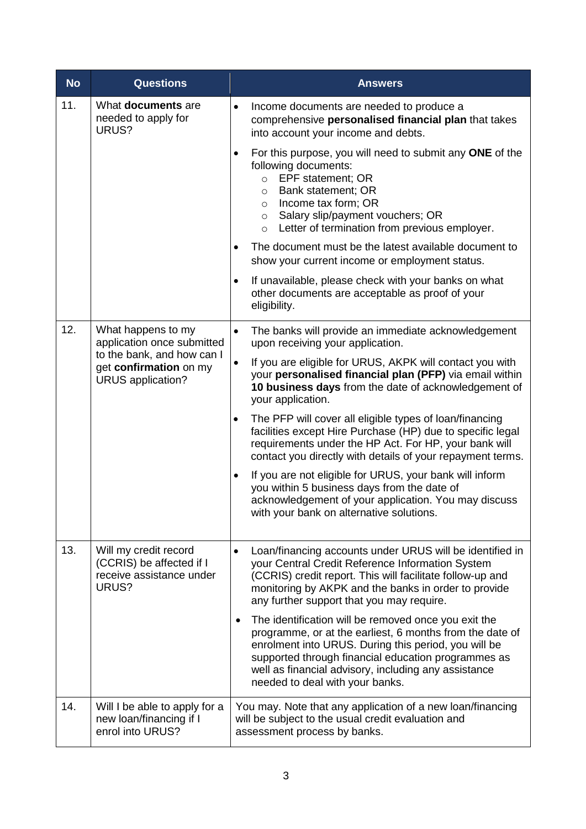| <b>No</b> | <b>Questions</b>                                                                                                              | <b>Answers</b>                                                                                                                                                                                                                                                                                                                          |
|-----------|-------------------------------------------------------------------------------------------------------------------------------|-----------------------------------------------------------------------------------------------------------------------------------------------------------------------------------------------------------------------------------------------------------------------------------------------------------------------------------------|
| 11.       | What documents are<br>needed to apply for<br>URUS?                                                                            | Income documents are needed to produce a<br>$\bullet$<br>comprehensive personalised financial plan that takes<br>into account your income and debts.                                                                                                                                                                                    |
|           |                                                                                                                               | For this purpose, you will need to submit any ONE of the<br>$\bullet$<br>following documents:<br>○ EPF statement; OR<br><b>Bank statement; OR</b><br>$\circ$<br>Income tax form; OR<br>$\circ$<br>Salary slip/payment vouchers; OR<br>$\circ$<br>Letter of termination from previous employer.<br>$\circ$                               |
|           |                                                                                                                               | The document must be the latest available document to<br>$\bullet$<br>show your current income or employment status.                                                                                                                                                                                                                    |
|           |                                                                                                                               | If unavailable, please check with your banks on what<br>$\bullet$<br>other documents are acceptable as proof of your<br>eligibility.                                                                                                                                                                                                    |
| 12.       | What happens to my<br>application once submitted<br>to the bank, and how can I<br>get confirmation on my<br>URUS application? | The banks will provide an immediate acknowledgement<br>$\bullet$<br>upon receiving your application.                                                                                                                                                                                                                                    |
|           |                                                                                                                               | $\bullet$<br>If you are eligible for URUS, AKPK will contact you with<br>your personalised financial plan (PFP) via email within<br>10 business days from the date of acknowledgement of<br>your application.                                                                                                                           |
|           |                                                                                                                               | The PFP will cover all eligible types of loan/financing<br>٠<br>facilities except Hire Purchase (HP) due to specific legal<br>requirements under the HP Act. For HP, your bank will<br>contact you directly with details of your repayment terms.                                                                                       |
|           |                                                                                                                               | If you are not eligible for URUS, your bank will inform<br>$\bullet$<br>you within 5 business days from the date of<br>acknowledgement of your application. You may discuss<br>with your bank on alternative solutions.                                                                                                                 |
| 13.       | Will my credit record<br>(CCRIS) be affected if I<br>receive assistance under<br>URUS?                                        | Loan/financing accounts under URUS will be identified in<br>$\bullet$<br>your Central Credit Reference Information System<br>(CCRIS) credit report. This will facilitate follow-up and<br>monitoring by AKPK and the banks in order to provide<br>any further support that you may require.                                             |
|           |                                                                                                                               | The identification will be removed once you exit the<br>$\bullet$<br>programme, or at the earliest, 6 months from the date of<br>enrolment into URUS. During this period, you will be<br>supported through financial education programmes as<br>well as financial advisory, including any assistance<br>needed to deal with your banks. |
| 14.       | Will I be able to apply for a<br>new loan/financing if I<br>enrol into URUS?                                                  | You may. Note that any application of a new loan/financing<br>will be subject to the usual credit evaluation and<br>assessment process by banks.                                                                                                                                                                                        |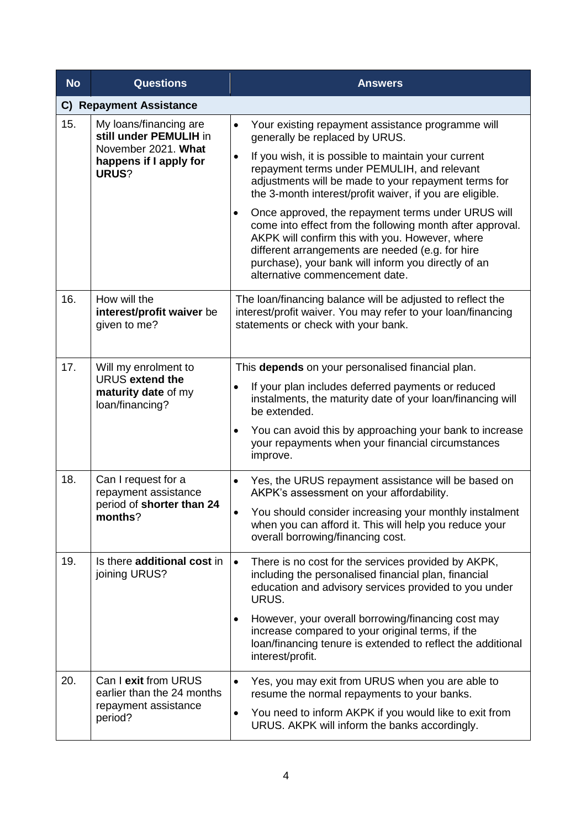| <b>No</b> | <b>Questions</b>                                                                                           | <b>Answers</b>                                                                                                                                                                                                                                                                                                               |
|-----------|------------------------------------------------------------------------------------------------------------|------------------------------------------------------------------------------------------------------------------------------------------------------------------------------------------------------------------------------------------------------------------------------------------------------------------------------|
|           | <b>C) Repayment Assistance</b>                                                                             |                                                                                                                                                                                                                                                                                                                              |
| 15.       | My loans/financing are<br>still under PEMULIH in<br>November 2021. What<br>happens if I apply for<br>URUS? | Your existing repayment assistance programme will<br>$\bullet$<br>generally be replaced by URUS.                                                                                                                                                                                                                             |
|           |                                                                                                            | If you wish, it is possible to maintain your current<br>$\bullet$<br>repayment terms under PEMULIH, and relevant<br>adjustments will be made to your repayment terms for<br>the 3-month interest/profit waiver, if you are eligible.                                                                                         |
|           |                                                                                                            | Once approved, the repayment terms under URUS will<br>$\bullet$<br>come into effect from the following month after approval.<br>AKPK will confirm this with you. However, where<br>different arrangements are needed (e.g. for hire<br>purchase), your bank will inform you directly of an<br>alternative commencement date. |
| 16.       | How will the<br>interest/profit waiver be<br>given to me?                                                  | The loan/financing balance will be adjusted to reflect the<br>interest/profit waiver. You may refer to your loan/financing<br>statements or check with your bank.                                                                                                                                                            |
| 17.       | Will my enrolment to<br>URUS extend the<br>maturity date of my<br>loan/financing?                          | This depends on your personalised financial plan.                                                                                                                                                                                                                                                                            |
|           |                                                                                                            | If your plan includes deferred payments or reduced<br>$\bullet$<br>instalments, the maturity date of your loan/financing will<br>be extended.                                                                                                                                                                                |
|           |                                                                                                            | You can avoid this by approaching your bank to increase<br>$\bullet$<br>your repayments when your financial circumstances<br>improve.                                                                                                                                                                                        |
| 18.       | Can I request for a<br>repayment assistance<br>period of shorter than 24<br>months?                        | Yes, the URUS repayment assistance will be based on<br>$\bullet$<br>AKPK's assessment on your affordability.                                                                                                                                                                                                                 |
|           |                                                                                                            | You should consider increasing your monthly instalment<br>when you can afford it. This will help you reduce your<br>overall borrowing/financing cost.                                                                                                                                                                        |
| 19.       | Is there additional cost in<br>joining URUS?                                                               | There is no cost for the services provided by AKPK,<br>$\bullet$<br>including the personalised financial plan, financial<br>education and advisory services provided to you under<br>URUS.                                                                                                                                   |
|           |                                                                                                            | However, your overall borrowing/financing cost may<br>$\bullet$<br>increase compared to your original terms, if the<br>loan/financing tenure is extended to reflect the additional<br>interest/profit.                                                                                                                       |
| 20.       | Can I exit from URUS<br>earlier than the 24 months<br>repayment assistance<br>period?                      | Yes, you may exit from URUS when you are able to<br>$\bullet$<br>resume the normal repayments to your banks.                                                                                                                                                                                                                 |
|           |                                                                                                            | You need to inform AKPK if you would like to exit from<br>$\bullet$<br>URUS. AKPK will inform the banks accordingly.                                                                                                                                                                                                         |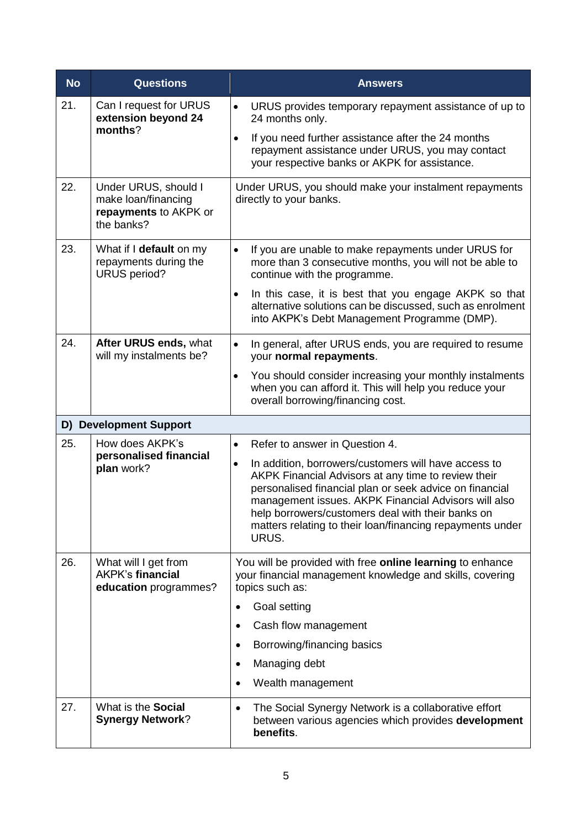| <b>No</b> | <b>Questions</b>                                                                   | <b>Answers</b>                                                                                                                                                                                                                                                                                                                                                         |
|-----------|------------------------------------------------------------------------------------|------------------------------------------------------------------------------------------------------------------------------------------------------------------------------------------------------------------------------------------------------------------------------------------------------------------------------------------------------------------------|
| 21.       | Can I request for URUS<br>extension beyond 24                                      | URUS provides temporary repayment assistance of up to<br>$\bullet$<br>24 months only.                                                                                                                                                                                                                                                                                  |
|           | months?                                                                            | If you need further assistance after the 24 months<br>$\bullet$<br>repayment assistance under URUS, you may contact<br>your respective banks or AKPK for assistance.                                                                                                                                                                                                   |
| 22.       | Under URUS, should I<br>make loan/financing<br>repayments to AKPK or<br>the banks? | Under URUS, you should make your instalment repayments<br>directly to your banks.                                                                                                                                                                                                                                                                                      |
| 23.       | What if I default on my<br>repayments during the<br><b>URUS</b> period?            | If you are unable to make repayments under URUS for<br>$\bullet$<br>more than 3 consecutive months, you will not be able to<br>continue with the programme.                                                                                                                                                                                                            |
|           |                                                                                    | In this case, it is best that you engage AKPK so that<br>$\bullet$<br>alternative solutions can be discussed, such as enrolment<br>into AKPK's Debt Management Programme (DMP).                                                                                                                                                                                        |
| 24.       | After URUS ends, what<br>will my instalments be?                                   | In general, after URUS ends, you are required to resume<br>$\bullet$<br>your normal repayments.                                                                                                                                                                                                                                                                        |
|           |                                                                                    | You should consider increasing your monthly instalments<br>$\bullet$<br>when you can afford it. This will help you reduce your<br>overall borrowing/financing cost.                                                                                                                                                                                                    |
|           | D) Development Support                                                             |                                                                                                                                                                                                                                                                                                                                                                        |
| 25.       | How does AKPK's                                                                    | Refer to answer in Question 4.<br>$\bullet$                                                                                                                                                                                                                                                                                                                            |
|           | personalised financial<br>plan work?                                               | In addition, borrowers/customers will have access to<br>$\bullet$<br>AKPK Financial Advisors at any time to review their<br>personalised financial plan or seek advice on financial<br>management issues. AKPK Financial Advisors will also<br>help borrowers/customers deal with their banks on<br>matters relating to their loan/financing repayments under<br>URUS. |
| 26.       | What will I get from<br><b>AKPK's financial</b><br>education programmes?           | You will be provided with free online learning to enhance<br>your financial management knowledge and skills, covering<br>topics such as:                                                                                                                                                                                                                               |
|           |                                                                                    | Goal setting<br>$\bullet$                                                                                                                                                                                                                                                                                                                                              |
|           |                                                                                    | Cash flow management<br>$\bullet$                                                                                                                                                                                                                                                                                                                                      |
|           |                                                                                    | Borrowing/financing basics<br>$\bullet$                                                                                                                                                                                                                                                                                                                                |
|           |                                                                                    | Managing debt<br>$\bullet$                                                                                                                                                                                                                                                                                                                                             |
|           |                                                                                    | Wealth management<br>$\bullet$                                                                                                                                                                                                                                                                                                                                         |
| 27.       | What is the Social<br><b>Synergy Network?</b>                                      | The Social Synergy Network is a collaborative effort<br>٠<br>between various agencies which provides development<br>benefits.                                                                                                                                                                                                                                          |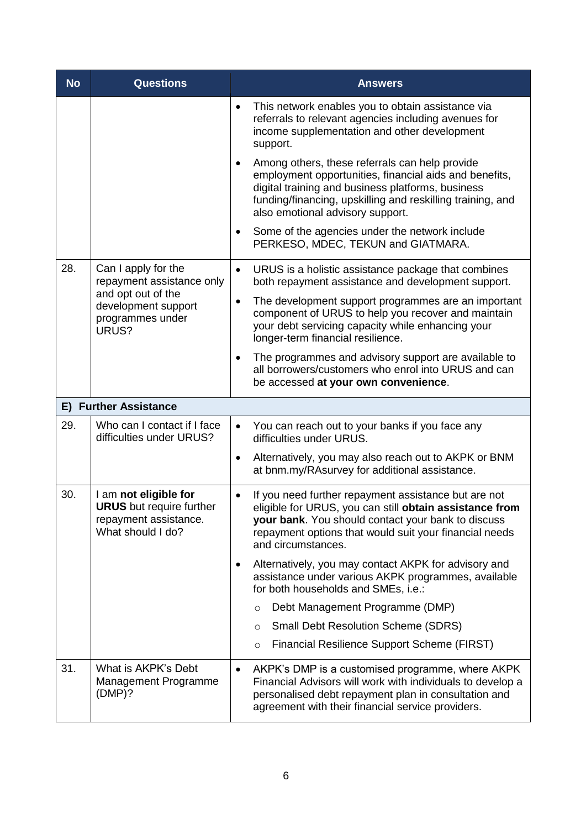| <b>No</b> | <b>Questions</b>                                                                                                           | <b>Answers</b>                                                                                                                                                                                                                                                               |
|-----------|----------------------------------------------------------------------------------------------------------------------------|------------------------------------------------------------------------------------------------------------------------------------------------------------------------------------------------------------------------------------------------------------------------------|
|           |                                                                                                                            | This network enables you to obtain assistance via<br>$\bullet$<br>referrals to relevant agencies including avenues for<br>income supplementation and other development<br>support.                                                                                           |
|           |                                                                                                                            | Among others, these referrals can help provide<br>$\bullet$<br>employment opportunities, financial aids and benefits,<br>digital training and business platforms, business<br>funding/financing, upskilling and reskilling training, and<br>also emotional advisory support. |
|           |                                                                                                                            | Some of the agencies under the network include<br>$\bullet$<br>PERKESO, MDEC, TEKUN and GIATMARA.                                                                                                                                                                            |
| 28.       | Can I apply for the<br>repayment assistance only<br>and opt out of the<br>development support<br>programmes under<br>URUS? | URUS is a holistic assistance package that combines<br>$\bullet$<br>both repayment assistance and development support.                                                                                                                                                       |
|           |                                                                                                                            | The development support programmes are an important<br>$\bullet$<br>component of URUS to help you recover and maintain<br>your debt servicing capacity while enhancing your<br>longer-term financial resilience.                                                             |
|           |                                                                                                                            | The programmes and advisory support are available to<br>$\bullet$<br>all borrowers/customers who enrol into URUS and can<br>be accessed at your own convenience.                                                                                                             |
|           | <b>E) Further Assistance</b>                                                                                               |                                                                                                                                                                                                                                                                              |
| 29.       | Who can I contact if I face<br>difficulties under URUS?                                                                    | You can reach out to your banks if you face any<br>$\bullet$<br>difficulties under URUS.                                                                                                                                                                                     |
|           |                                                                                                                            | Alternatively, you may also reach out to AKPK or BNM<br>$\bullet$<br>at bnm.my/RAsurvey for additional assistance.                                                                                                                                                           |
| 30.       | I am not eligible for<br><b>URUS</b> but require further<br>repayment assistance.<br>What should I do?                     | If you need further repayment assistance but are not<br>$\bullet$<br>eligible for URUS, you can still obtain assistance from<br>your bank. You should contact your bank to discuss<br>repayment options that would suit your financial needs<br>and circumstances.           |
|           |                                                                                                                            | Alternatively, you may contact AKPK for advisory and<br>$\bullet$<br>assistance under various AKPK programmes, available<br>for both households and SMEs, i.e.:                                                                                                              |
|           |                                                                                                                            | Debt Management Programme (DMP)<br>$\circ$                                                                                                                                                                                                                                   |
|           |                                                                                                                            | <b>Small Debt Resolution Scheme (SDRS)</b><br>$\circ$                                                                                                                                                                                                                        |
|           |                                                                                                                            | Financial Resilience Support Scheme (FIRST)<br>$\circ$                                                                                                                                                                                                                       |
| 31.       | What is AKPK's Debt<br>Management Programme<br>(DMP)?                                                                      | AKPK's DMP is a customised programme, where AKPK<br>$\bullet$<br>Financial Advisors will work with individuals to develop a<br>personalised debt repayment plan in consultation and<br>agreement with their financial service providers.                                     |